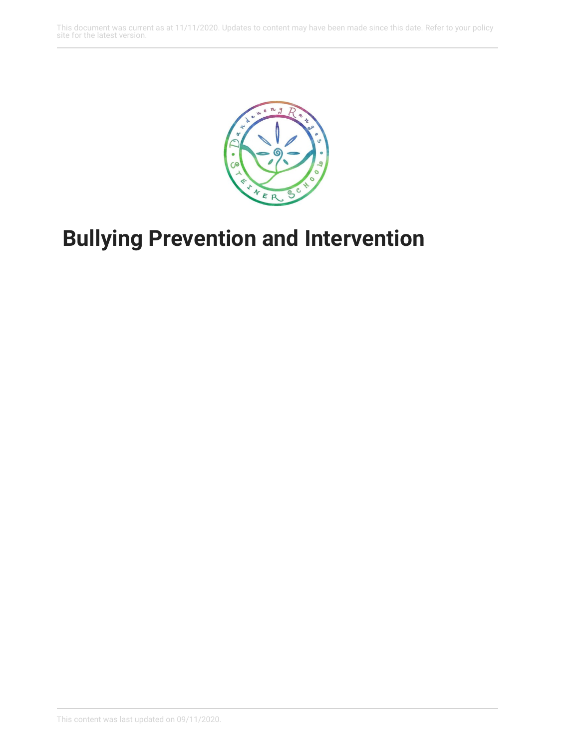This document was current as at 11/11/2020. Updates to content may have been made since this date. Refer to your policy site for the latest version.



## **Bullying Prevention and Intervention**

This content was last updated on 09/11/2020.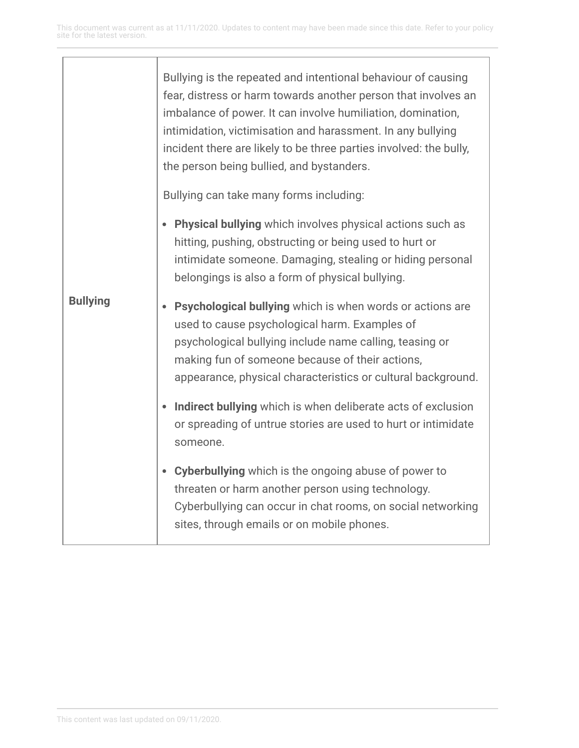|                 | Bullying is the repeated and intentional behaviour of causing<br>fear, distress or harm towards another person that involves an<br>imbalance of power. It can involve humiliation, domination,<br>intimidation, victimisation and harassment. In any bullying<br>incident there are likely to be three parties involved: the bully,<br>the person being bullied, and bystanders.<br>Bullying can take many forms including: |
|-----------------|-----------------------------------------------------------------------------------------------------------------------------------------------------------------------------------------------------------------------------------------------------------------------------------------------------------------------------------------------------------------------------------------------------------------------------|
|                 | • Physical bullying which involves physical actions such as<br>hitting, pushing, obstructing or being used to hurt or<br>intimidate someone. Damaging, stealing or hiding personal<br>belongings is also a form of physical bullying.                                                                                                                                                                                       |
| <b>Bullying</b> | Psychological bullying which is when words or actions are<br>used to cause psychological harm. Examples of<br>psychological bullying include name calling, teasing or<br>making fun of someone because of their actions,<br>appearance, physical characteristics or cultural background.                                                                                                                                    |
|                 | Indirect bullying which is when deliberate acts of exclusion<br>or spreading of untrue stories are used to hurt or intimidate<br>someone.                                                                                                                                                                                                                                                                                   |
|                 | <b>Cyberbullying</b> which is the ongoing abuse of power to<br>threaten or harm another person using technology.<br>Cyberbullying can occur in chat rooms, on social networking<br>sites, through emails or on mobile phones.                                                                                                                                                                                               |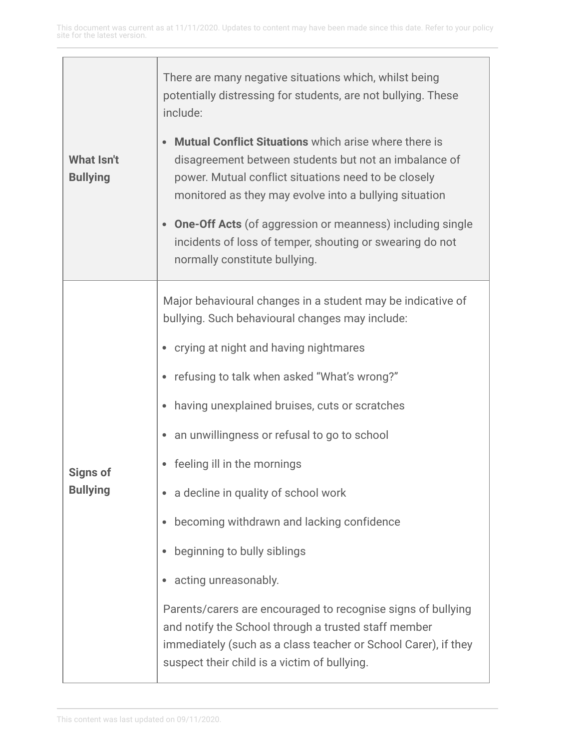| <b>What Isn't</b><br><b>Bullying</b> | There are many negative situations which, whilst being<br>potentially distressing for students, are not bullying. These<br>include:<br><b>Mutual Conflict Situations</b> which arise where there is<br>disagreement between students but not an imbalance of<br>power. Mutual conflict situations need to be closely<br>monitored as they may evolve into a bullying situation<br><b>One-Off Acts</b> (of aggression or meanness) including single<br>incidents of loss of temper, shouting or swearing do not<br>normally constitute bullying.                                                                                                                                                                              |
|--------------------------------------|------------------------------------------------------------------------------------------------------------------------------------------------------------------------------------------------------------------------------------------------------------------------------------------------------------------------------------------------------------------------------------------------------------------------------------------------------------------------------------------------------------------------------------------------------------------------------------------------------------------------------------------------------------------------------------------------------------------------------|
| <b>Signs of</b><br><b>Bullying</b>   | Major behavioural changes in a student may be indicative of<br>bullying. Such behavioural changes may include:<br>• crying at night and having nightmares<br>refusing to talk when asked "What's wrong?"<br>having unexplained bruises, cuts or scratches<br>an unwillingness or refusal to go to school<br>feeling ill in the mornings<br>a decline in quality of school work<br>becoming withdrawn and lacking confidence<br>beginning to bully siblings<br>acting unreasonably.<br>Parents/carers are encouraged to recognise signs of bullying<br>and notify the School through a trusted staff member<br>immediately (such as a class teacher or School Carer), if they<br>suspect their child is a victim of bullying. |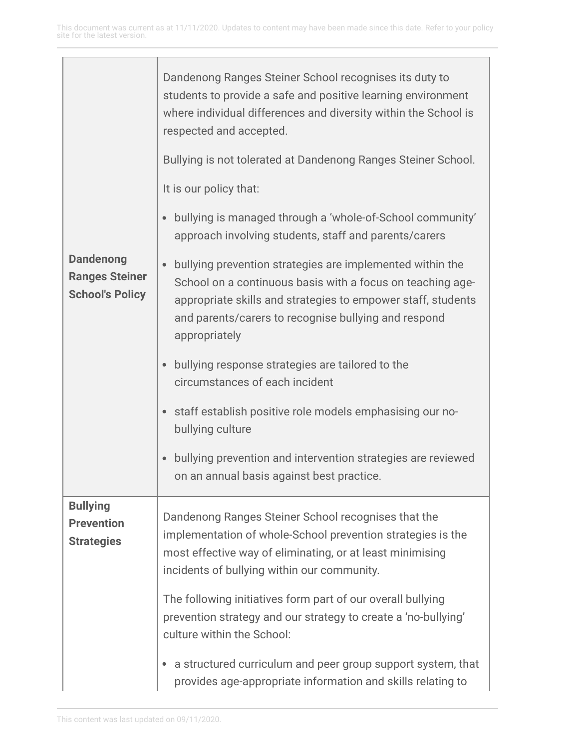|                                                                     | Dandenong Ranges Steiner School recognises its duty to<br>students to provide a safe and positive learning environment<br>where individual differences and diversity within the School is<br>respected and accepted.<br>Bullying is not tolerated at Dandenong Ranges Steiner School. |
|---------------------------------------------------------------------|---------------------------------------------------------------------------------------------------------------------------------------------------------------------------------------------------------------------------------------------------------------------------------------|
|                                                                     | It is our policy that:                                                                                                                                                                                                                                                                |
|                                                                     | bullying is managed through a 'whole-of-School community'<br>approach involving students, staff and parents/carers                                                                                                                                                                    |
| <b>Dandenong</b><br><b>Ranges Steiner</b><br><b>School's Policy</b> | bullying prevention strategies are implemented within the<br>School on a continuous basis with a focus on teaching age-<br>appropriate skills and strategies to empower staff, students<br>and parents/carers to recognise bullying and respond<br>appropriately                      |
|                                                                     | bullying response strategies are tailored to the<br>circumstances of each incident                                                                                                                                                                                                    |
|                                                                     | staff establish positive role models emphasising our no-<br>bullying culture                                                                                                                                                                                                          |
|                                                                     | bullying prevention and intervention strategies are reviewed<br>on an annual basis against best practice.                                                                                                                                                                             |
| <b>Bullying</b><br><b>Prevention</b><br><b>Strategies</b>           | Dandenong Ranges Steiner School recognises that the<br>implementation of whole-School prevention strategies is the<br>most effective way of eliminating, or at least minimising<br>incidents of bullying within our community.                                                        |
|                                                                     | The following initiatives form part of our overall bullying<br>prevention strategy and our strategy to create a 'no-bullying'<br>culture within the School:                                                                                                                           |
|                                                                     | a structured curriculum and peer group support system, that<br>provides age-appropriate information and skills relating to                                                                                                                                                            |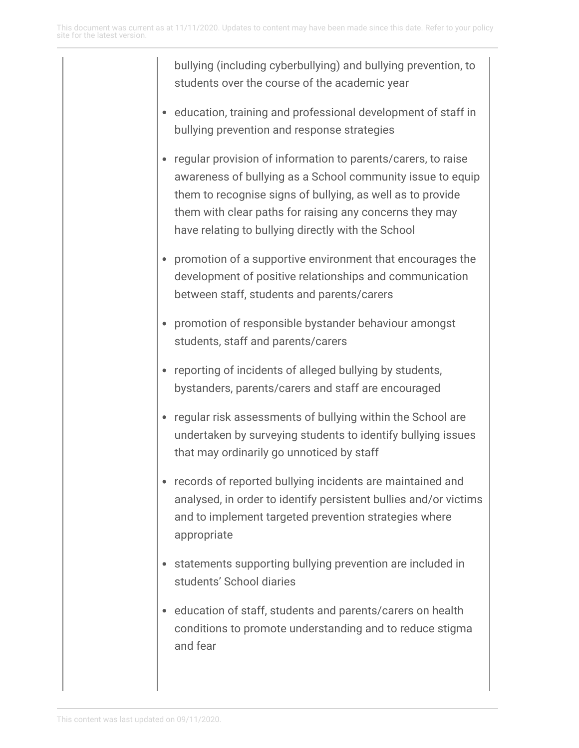bullying (including cyberbullying) and bullying prevention, to students over the course of the academic year

- education, training and professional development of staff in bullying prevention and response strategies
- regular provision of information to parents/carers, to raise awareness of bullying as a School community issue to equip them to recognise signs of bullying, as well as to provide them with clear paths for raising any concerns they may have relating to bullying directly with the School
- promotion of a supportive environment that encourages the development of positive relationships and communication between staff, students and parents/carers
- promotion of responsible bystander behaviour amongst students, staff and parents/carers
- reporting of incidents of alleged bullying by students, bystanders, parents/carers and staff are encouraged
- regular risk assessments of bullying within the School are undertaken by surveying students to identify bullying issues that may ordinarily go unnoticed by staff
- records of reported bullying incidents are maintained and analysed, in order to identify persistent bullies and/or victims and to implement targeted prevention strategies where appropriate
- statements supporting bullying prevention are included in students' School diaries
- education of staff, students and parents/carers on health conditions to promote understanding and to reduce stigma and fear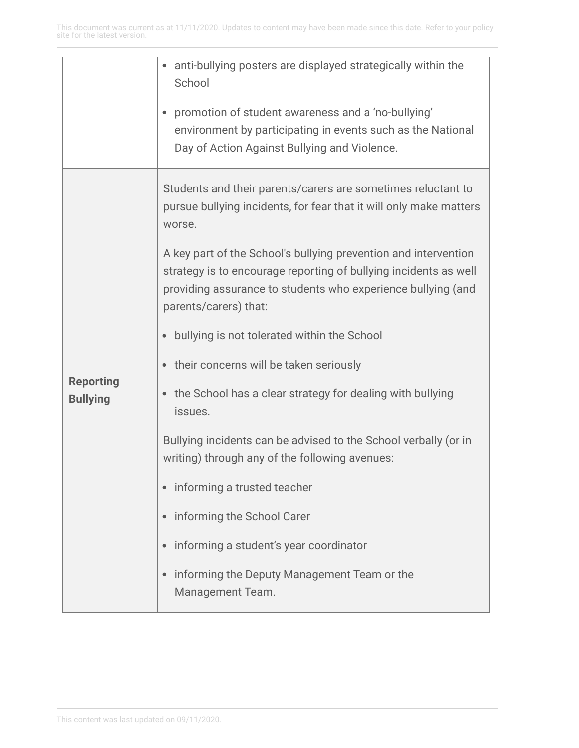|                                     | anti-bullying posters are displayed strategically within the<br>School                                                                                                                                                       |
|-------------------------------------|------------------------------------------------------------------------------------------------------------------------------------------------------------------------------------------------------------------------------|
|                                     | promotion of student awareness and a 'no-bullying'<br>environment by participating in events such as the National<br>Day of Action Against Bullying and Violence.                                                            |
| <b>Reporting</b><br><b>Bullying</b> | Students and their parents/carers are sometimes reluctant to<br>pursue bullying incidents, for fear that it will only make matters<br>worse.                                                                                 |
|                                     | A key part of the School's bullying prevention and intervention<br>strategy is to encourage reporting of bullying incidents as well<br>providing assurance to students who experience bullying (and<br>parents/carers) that: |
|                                     | bullying is not tolerated within the School                                                                                                                                                                                  |
|                                     | their concerns will be taken seriously<br>٠                                                                                                                                                                                  |
|                                     | the School has a clear strategy for dealing with bullying<br>issues.                                                                                                                                                         |
|                                     | Bullying incidents can be advised to the School verbally (or in<br>writing) through any of the following avenues:                                                                                                            |
|                                     | informing a trusted teacher                                                                                                                                                                                                  |
|                                     | informing the School Carer<br>$\bullet$                                                                                                                                                                                      |
|                                     | informing a student's year coordinator                                                                                                                                                                                       |
|                                     | informing the Deputy Management Team or the<br>$\bullet$<br>Management Team.                                                                                                                                                 |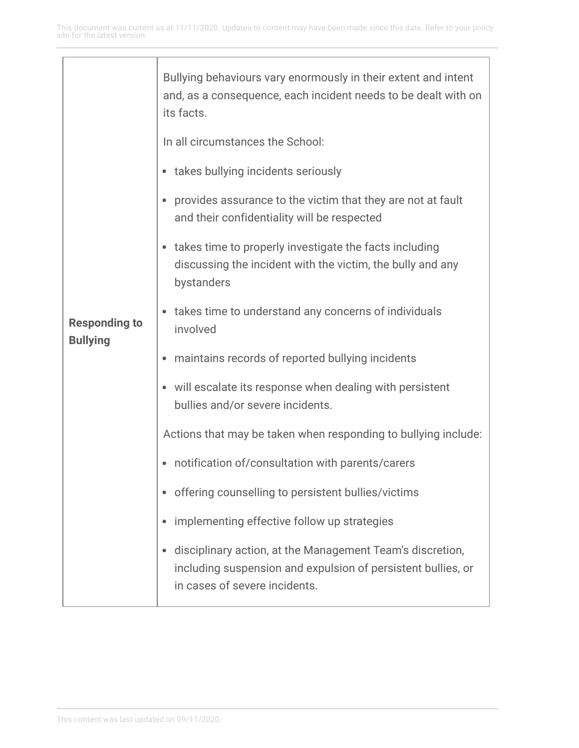| <b>Responding to</b><br><b>Bullying</b> | Bullying behaviours vary enormously in their extent and intent<br>and, as a consequence, each incident needs to be dealt with on<br>its facts.             |
|-----------------------------------------|------------------------------------------------------------------------------------------------------------------------------------------------------------|
|                                         | In all circumstances the School:                                                                                                                           |
|                                         | • takes bullying incidents seriously                                                                                                                       |
|                                         | provides assurance to the victim that they are not at fault<br>٠<br>and their confidentiality will be respected                                            |
|                                         | takes time to properly investigate the facts including<br>$\bullet$<br>discussing the incident with the victim, the bully and any<br>bystanders            |
|                                         | takes time to understand any concerns of individuals<br>involved                                                                                           |
|                                         | maintains records of reported bullying incidents<br>٠                                                                                                      |
|                                         | will escalate its response when dealing with persistent<br>$\bullet$<br>bullies and/or severe incidents.                                                   |
|                                         | Actions that may be taken when responding to bullying include:                                                                                             |
|                                         | notification of/consultation with parents/carers                                                                                                           |
|                                         | offering counselling to persistent bullies/victims                                                                                                         |
|                                         | implementing effective follow up strategies<br>٠                                                                                                           |
|                                         | disciplinary action, at the Management Team's discretion,<br>including suspension and expulsion of persistent bullies, or<br>in cases of severe incidents. |